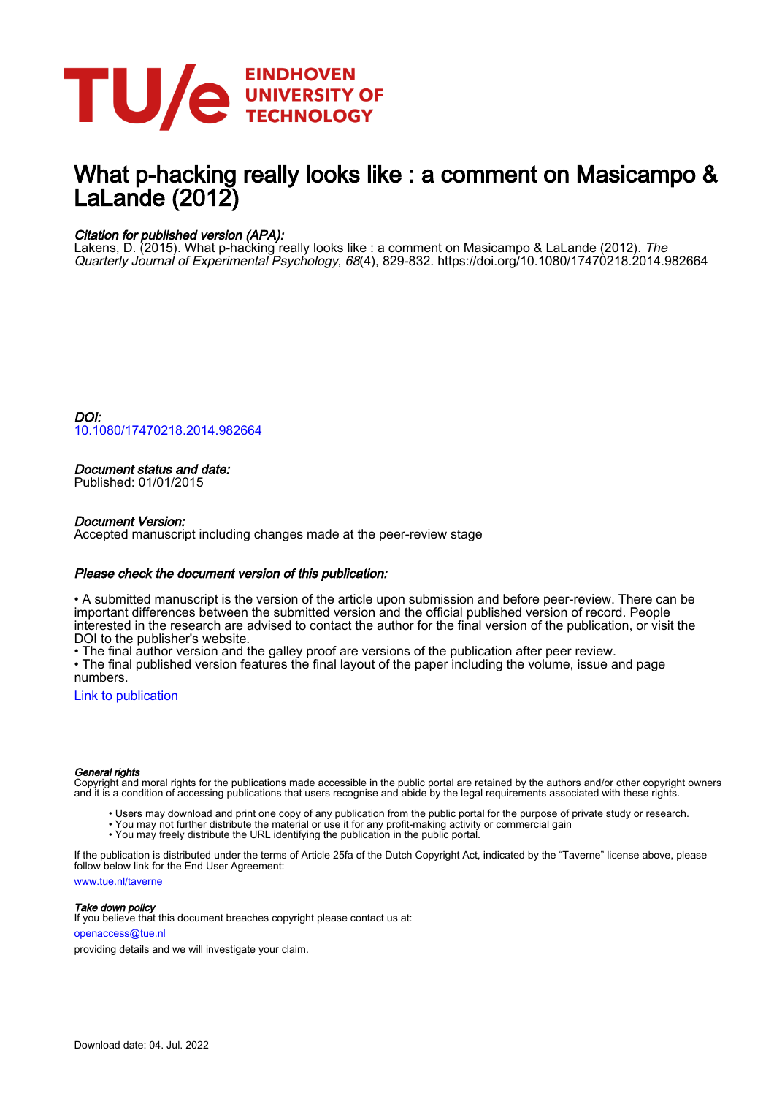

# What p-hacking really looks like : a comment on Masicampo & LaLande (2012)

# Citation for published version (APA):

Lakens, D. (2015). What p-hacking really looks like : a comment on Masicampo & LaLande (2012). *The* Quarterly Journal of Experimental Psychology, 68(4), 829-832.<https://doi.org/10.1080/17470218.2014.982664>

DOI: [10.1080/17470218.2014.982664](https://doi.org/10.1080/17470218.2014.982664)

# Document status and date:

Published: 01/01/2015

## Document Version:

Accepted manuscript including changes made at the peer-review stage

## Please check the document version of this publication:

• A submitted manuscript is the version of the article upon submission and before peer-review. There can be important differences between the submitted version and the official published version of record. People interested in the research are advised to contact the author for the final version of the publication, or visit the DOI to the publisher's website.

• The final author version and the galley proof are versions of the publication after peer review.

• The final published version features the final layout of the paper including the volume, issue and page numbers.

[Link to publication](https://research.tue.nl/en/publications/cf31f84c-090b-4747-a2c0-cf08ea6ce680)

### General rights

Copyright and moral rights for the publications made accessible in the public portal are retained by the authors and/or other copyright owners and it is a condition of accessing publications that users recognise and abide by the legal requirements associated with these rights.

- Users may download and print one copy of any publication from the public portal for the purpose of private study or research.
- You may not further distribute the material or use it for any profit-making activity or commercial gain
- You may freely distribute the URL identifying the publication in the public portal.

If the publication is distributed under the terms of Article 25fa of the Dutch Copyright Act, indicated by the "Taverne" license above, please follow below link for the End User Agreement:

www.tue.nl/taverne

**Take down policy**<br>If you believe that this document breaches copyright please contact us at:

openaccess@tue.nl

providing details and we will investigate your claim.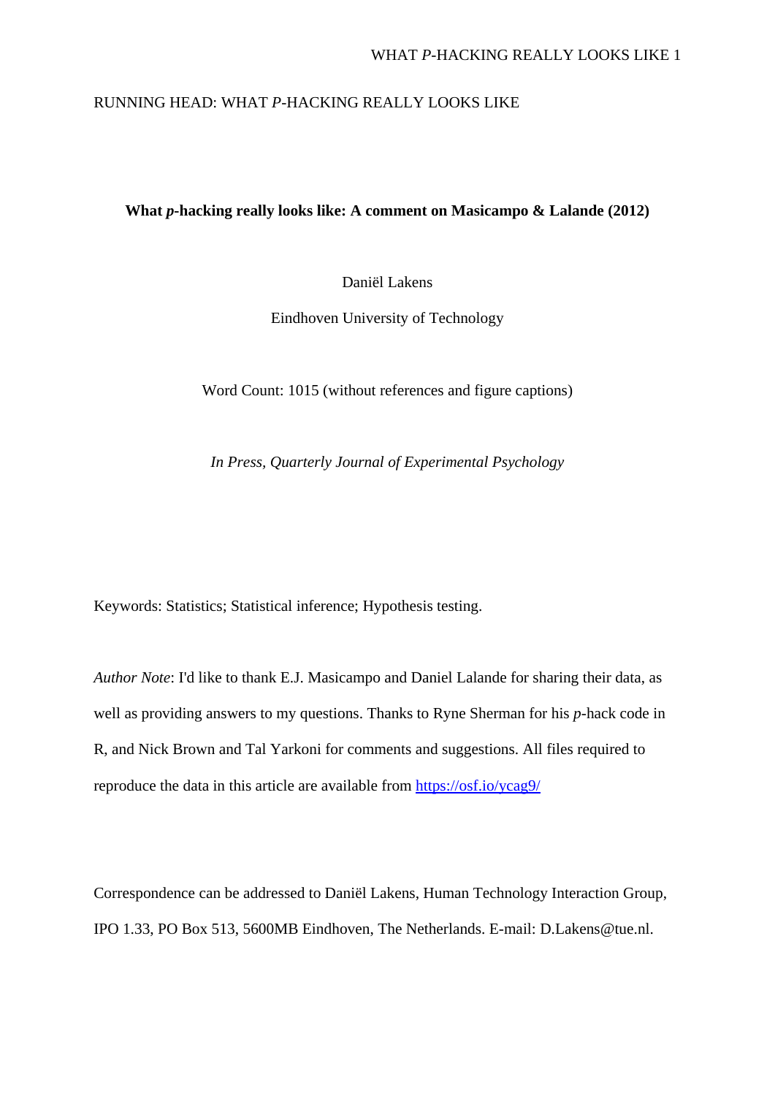# RUNNING HEAD: WHAT *P*-HACKING REALLY LOOKS LIKE

# **What** *p***-hacking really looks like: A comment on Masicampo & Lalande (2012)**

Daniël Lakens

Eindhoven University of Technology

Word Count: 1015 (without references and figure captions)

*In Press, Quarterly Journal of Experimental Psychology*

Keywords: Statistics; Statistical inference; Hypothesis testing.

*Author Note*: I'd like to thank E.J. Masicampo and Daniel Lalande for sharing their data, as well as providing answers to my questions. Thanks to Ryne Sherman for his *p*-hack code in R, and Nick Brown and Tal Yarkoni for comments and suggestions. All files required to reproduce the data in this article are available from<https://osf.io/ycag9/>

Correspondence can be addressed to Daniël Lakens, Human Technology Interaction Group, IPO 1.33, PO Box 513, 5600MB Eindhoven, The Netherlands. E-mail: D.Lakens@tue.nl.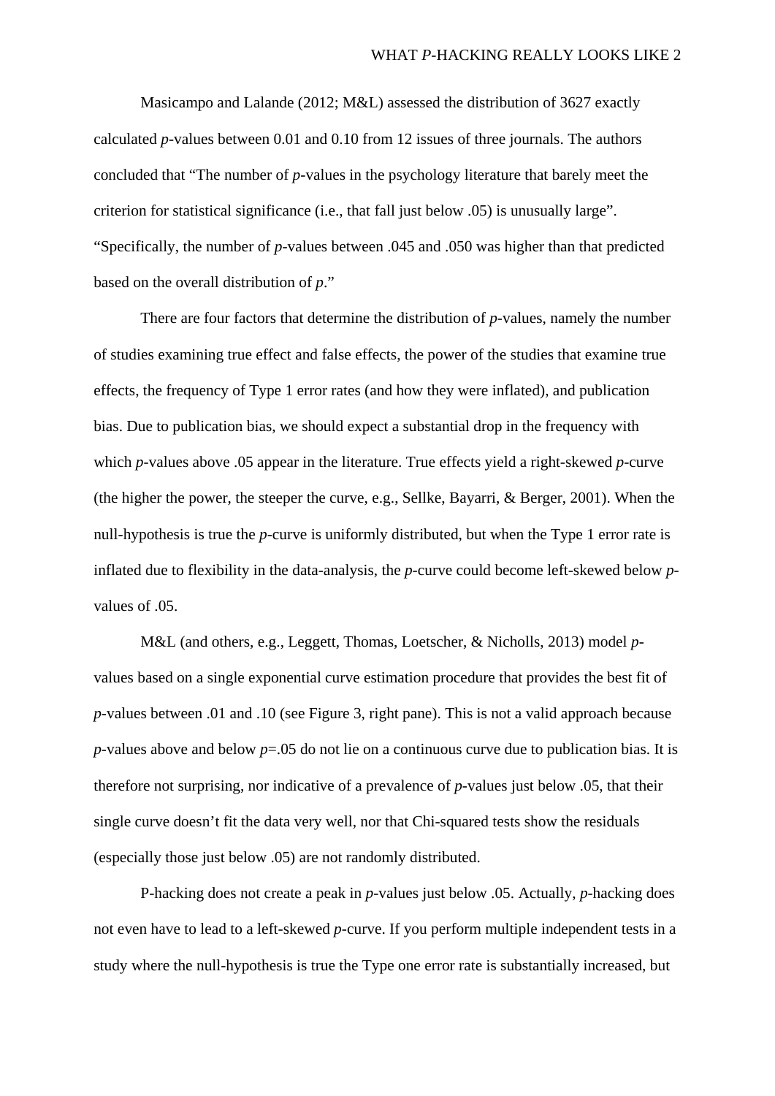Masicampo and Lalande (2012; M&L) assessed the distribution of 3627 exactly calculated *p*-values between 0.01 and 0.10 from 12 issues of three journals. The authors concluded that "The number of *p*-values in the psychology literature that barely meet the criterion for statistical significance (i.e., that fall just below .05) is unusually large". "Specifically, the number of *p*-values between .045 and .050 was higher than that predicted based on the overall distribution of *p*."

There are four factors that determine the distribution of *p*-values, namely the number of studies examining true effect and false effects, the power of the studies that examine true effects, the frequency of Type 1 error rates (and how they were inflated), and publication bias. Due to publication bias, we should expect a substantial drop in the frequency with which *p*-values above .05 appear in the literature. True effects yield a right-skewed *p-*curve (the higher the power, the steeper the curve, e.g., Sellke, Bayarri, & Berger, 2001). When the null-hypothesis is true the *p*-curve is uniformly distributed, but when the Type 1 error rate is inflated due to flexibility in the data-analysis, the *p-*curve could become left-skewed below *p*values of .05.

M&L (and others, e.g., Leggett, Thomas, Loetscher, & Nicholls, 2013) model *p*values based on a single exponential curve estimation procedure that provides the best fit of *p*-values between .01 and .10 (see Figure 3, right pane). This is not a valid approach because *p*-values above and below *p*=.05 do not lie on a continuous curve due to publication bias. It is therefore not surprising, nor indicative of a prevalence of *p*-values just below .05, that their single curve doesn't fit the data very well, nor that Chi-squared tests show the residuals (especially those just below .05) are not randomly distributed.

P-hacking does not create a peak in *p*-values just below .05. Actually, *p*-hacking does not even have to lead to a left-skewed *p-*curve. If you perform multiple independent tests in a study where the null-hypothesis is true the Type one error rate is substantially increased, but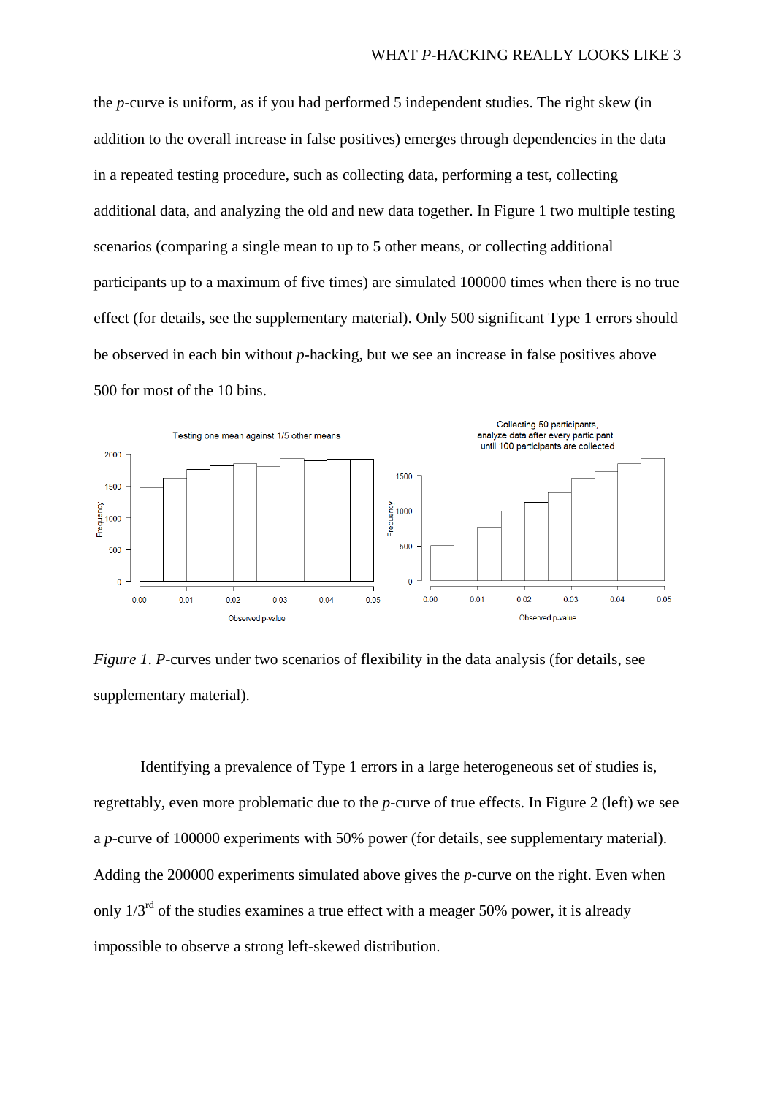the *p-*curve is uniform, as if you had performed 5 independent studies. The right skew (in addition to the overall increase in false positives) emerges through dependencies in the data in a repeated testing procedure, such as collecting data, performing a test, collecting additional data, and analyzing the old and new data together. In Figure 1 two multiple testing scenarios (comparing a single mean to up to 5 other means, or collecting additional participants up to a maximum of five times) are simulated 100000 times when there is no true effect (for details, see the supplementary material). Only 500 significant Type 1 errors should be observed in each bin without *p*-hacking, but we see an increase in false positives above 500 for most of the 10 bins.



*Figure 1*. *P-*curves under two scenarios of flexibility in the data analysis (for details, see supplementary material).

Identifying a prevalence of Type 1 errors in a large heterogeneous set of studies is, regrettably, even more problematic due to the *p-*curve of true effects. In Figure 2 (left) we see a *p-*curve of 100000 experiments with 50% power (for details, see supplementary material). Adding the 200000 experiments simulated above gives the *p-*curve on the right. Even when only 1/3rd of the studies examines a true effect with a meager 50% power, it is already impossible to observe a strong left-skewed distribution.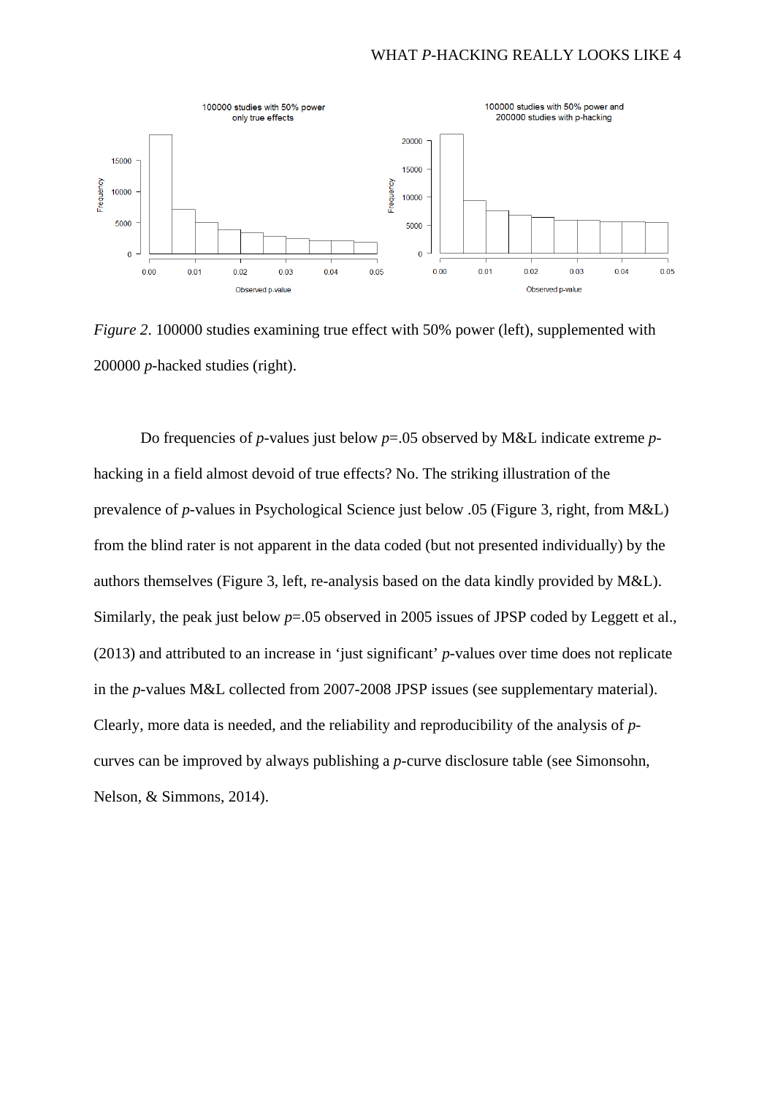

*Figure 2.* 100000 studies examining true effect with 50% power (left), supplemented with 200000 *p*-hacked studies (right).

Do frequencies of *p*-values just below *p*=.05 observed by M&L indicate extreme *p*hacking in a field almost devoid of true effects? No. The striking illustration of the prevalence of *p*-values in Psychological Science just below .05 (Figure 3, right, from M&L) from the blind rater is not apparent in the data coded (but not presented individually) by the authors themselves (Figure 3, left, re-analysis based on the data kindly provided by M&L). Similarly, the peak just below  $p=0.05$  observed in 2005 issues of JPSP coded by Leggett et al., (2013) and attributed to an increase in 'just significant' *p*-values over time does not replicate in the *p*-values M&L collected from 2007-2008 JPSP issues (see supplementary material). Clearly, more data is needed, and the reliability and reproducibility of the analysis of *p*curves can be improved by always publishing a *p*-curve disclosure table (see Simonsohn, Nelson, & Simmons, 2014).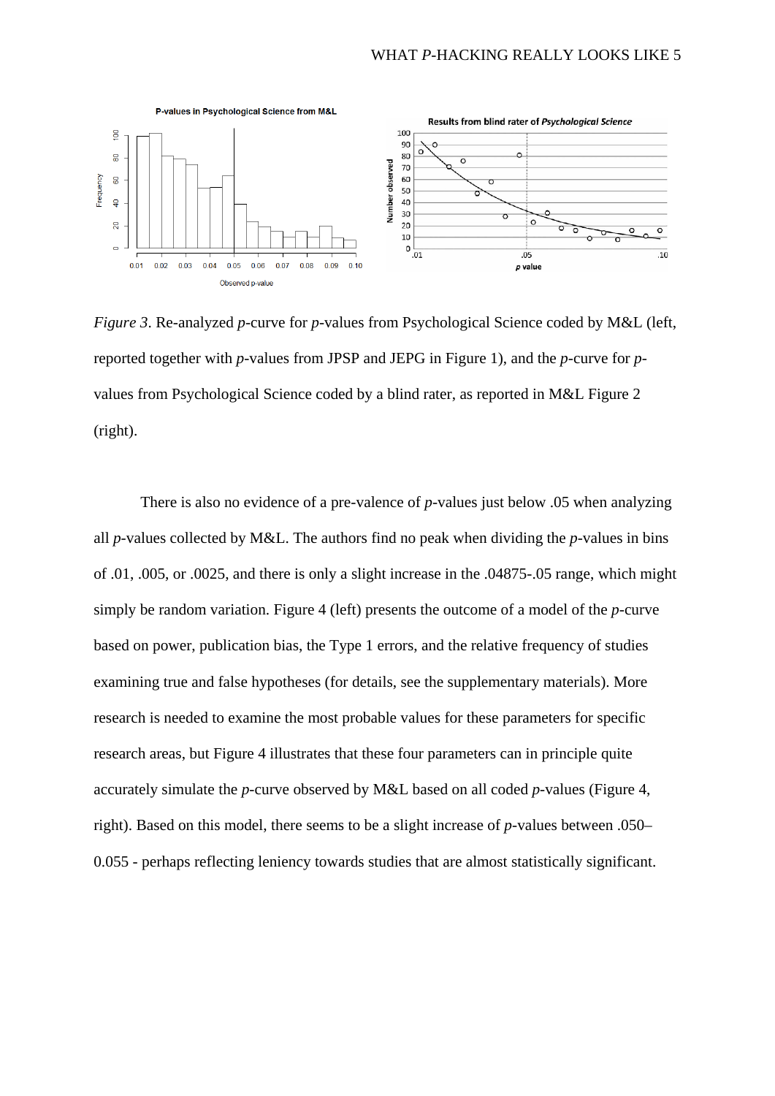

*Figure 3*. Re-analyzed *p-*curve for *p*-values from Psychological Science coded by M&L (left, reported together with *p*-values from JPSP and JEPG in Figure 1), and the *p*-curve for *p*values from Psychological Science coded by a blind rater, as reported in M&L Figure 2 (right).

There is also no evidence of a pre-valence of *p*-values just below .05 when analyzing all *p*-values collected by M&L. The authors find no peak when dividing the *p*-values in bins of .01, .005, or .0025, and there is only a slight increase in the .04875-.05 range, which might simply be random variation. Figure 4 (left) presents the outcome of a model of the *p-*curve based on power, publication bias, the Type 1 errors, and the relative frequency of studies examining true and false hypotheses (for details, see the supplementary materials). More research is needed to examine the most probable values for these parameters for specific research areas, but Figure 4 illustrates that these four parameters can in principle quite accurately simulate the *p-*curve observed by M&L based on all coded *p*-values (Figure 4, right). Based on this model, there seems to be a slight increase of *p*-values between .050– 0.055 - perhaps reflecting leniency towards studies that are almost statistically significant.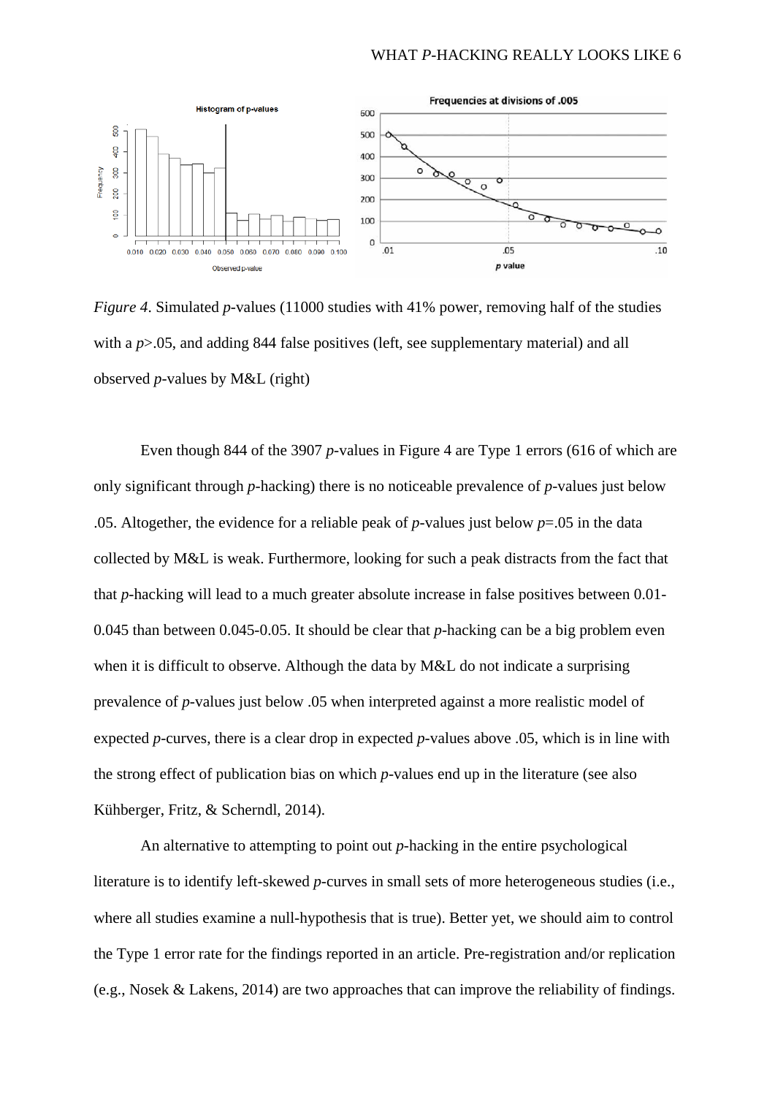# WHAT *P*-HACKING REALLY LOOKS LIKE 6



*Figure 4.* Simulated *p*-values (11000 studies with 41% power, removing half of the studies with a  $p > 0.05$ , and adding 844 false positives (left, see supplementary material) and all observed *p*-values by M&L (right)

Even though 844 of the 3907 *p*-values in Figure 4 are Type 1 errors (616 of which are only significant through *p*-hacking) there is no noticeable prevalence of *p*-values just below .05. Altogether, the evidence for a reliable peak of *p*-values just below  $p=0.05$  in the data collected by M&L is weak. Furthermore, looking for such a peak distracts from the fact that that *p*-hacking will lead to a much greater absolute increase in false positives between 0.01- 0.045 than between 0.045-0.05. It should be clear that *p*-hacking can be a big problem even when it is difficult to observe. Although the data by M&L do not indicate a surprising prevalence of *p*-values just below .05 when interpreted against a more realistic model of expected *p-*curves, there is a clear drop in expected *p*-values above .05, which is in line with the strong effect of publication bias on which *p*-values end up in the literature (see also Kühberger, Fritz, & Scherndl, 2014).

An alternative to attempting to point out *p*-hacking in the entire psychological literature is to identify left-skewed *p*-curves in small sets of more heterogeneous studies (i.e., where all studies examine a null-hypothesis that is true). Better yet, we should aim to control the Type 1 error rate for the findings reported in an article. Pre-registration and/or replication (e.g., Nosek & Lakens, 2014) are two approaches that can improve the reliability of findings.